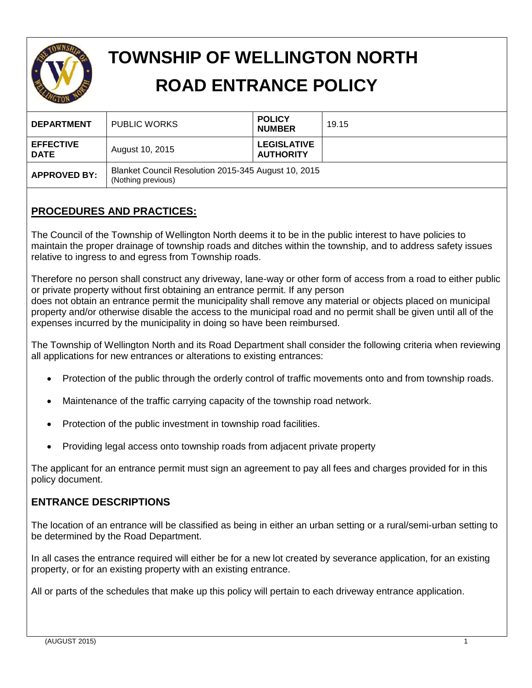

# **TOWNSHIP OF WELLINGTON NORTH ROAD ENTRANCE POLICY**

| <b>DEPARTMENT</b>               | <b>PUBLIC WORKS</b>                                                       | <b>POLICY</b><br><b>NUMBER</b>         | 19.15 |  |
|---------------------------------|---------------------------------------------------------------------------|----------------------------------------|-------|--|
| <b>EFFECTIVE</b><br><b>DATE</b> | August 10, 2015                                                           | <b>LEGISLATIVE</b><br><b>AUTHORITY</b> |       |  |
| <b>APPROVED BY:</b>             | Blanket Council Resolution 2015-345 August 10, 2015<br>(Nothing previous) |                                        |       |  |

## **PROCEDURES AND PRACTICES:**

The Council of the Township of Wellington North deems it to be in the public interest to have policies to maintain the proper drainage of township roads and ditches within the township, and to address safety issues relative to ingress to and egress from Township roads.

Therefore no person shall construct any driveway, lane-way or other form of access from a road to either public or private property without first obtaining an entrance permit. If any person does not obtain an entrance permit the municipality shall remove any material or objects placed on municipal property and/or otherwise disable the access to the municipal road and no permit shall be given until all of the expenses incurred by the municipality in doing so have been reimbursed.

The Township of Wellington North and its Road Department shall consider the following criteria when reviewing all applications for new entrances or alterations to existing entrances:

- Protection of the public through the orderly control of traffic movements onto and from township roads.
- Maintenance of the traffic carrying capacity of the township road network.
- Protection of the public investment in township road facilities.
- Providing legal access onto township roads from adjacent private property

The applicant for an entrance permit must sign an agreement to pay all fees and charges provided for in this policy document.

## **ENTRANCE DESCRIPTIONS**

The location of an entrance will be classified as being in either an urban setting or a rural/semi-urban setting to be determined by the Road Department.

In all cases the entrance required will either be for a new lot created by severance application, for an existing property, or for an existing property with an existing entrance.

All or parts of the schedules that make up this policy will pertain to each driveway entrance application.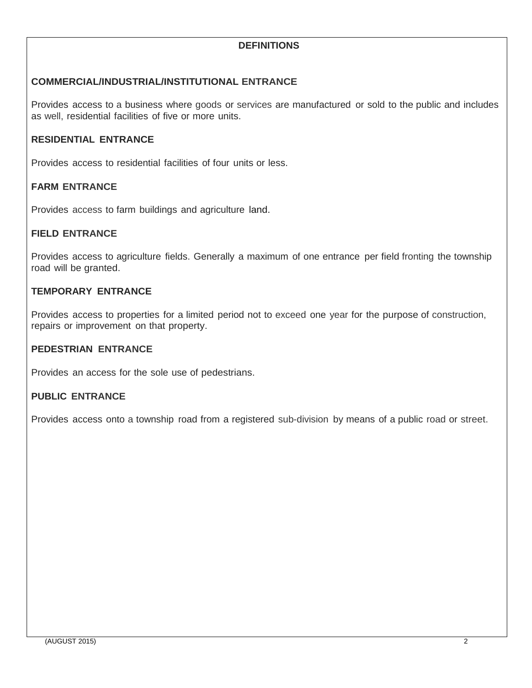## **DEFINITIONS**

## **COMMERCIAL/INDUSTRIAL/INSTITUTIONAL ENTRANCE**

Provides access to a business where goods or services are manufactured or sold to the public and includes as well, residential facilities of five or more units.

## **RESIDENTIAL ENTRANCE**

Provides access to residential facilities of four units or less.

### **FARM ENTRANCE**

Provides access to farm buildings and agriculture land.

#### **FIELD ENTRANCE**

Provides access to agriculture fields. Generally a maximum of one entrance per field fronting the township road will be granted.

#### **TEMPORARY ENTRANCE**

Provides access to properties for a limited period not to exceed one year for the purpose of construction, repairs or improvement on that property.

#### **PEDESTRIAN ENTRANCE**

Provides an access for the sole use of pedestrians.

#### **PUBLIC ENTRANCE**

Provides access onto a township road from a registered sub-division by means of a public road or street.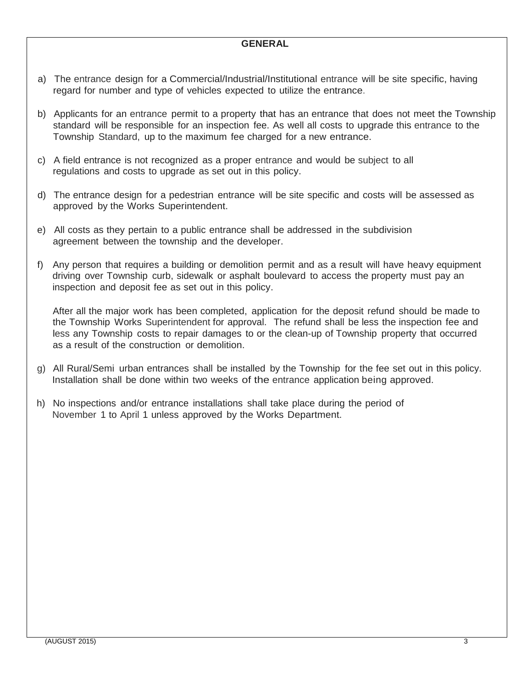#### **GENERAL**

- a) The entrance design for a Commercial/Industrial/Institutional entrance will be site specific, having regard for number and type of vehicles expected to utilize the entrance.
- b) Applicants for an entrance permit to a property that has an entrance that does not meet the Township standard will be responsible for an inspection fee. As well all costs to upgrade this entrance to the Township Standard, up to the maximum fee charged for a new entrance.
- c) A field entrance is not recognized as a proper entrance and would be subject to all regulations and costs to upgrade as set out in this policy.
- d) The entrance design for a pedestrian entrance will be site specific and costs will be assessed as approved by the Works Superintendent.
- e) All costs as they pertain to a public entrance shall be addressed in the subdivision agreement between the township and the developer.
- f) Any person that requires a building or demolition permit and as a result will have heavy equipment driving over Township curb, sidewalk or asphalt boulevard to access the property must pay an inspection and deposit fee as set out in this policy.

After all the major work has been completed, application for the deposit refund should be made to the Township Works Superintendent for approval. The refund shall be less the inspection fee and less any Township costs to repair damages to or the clean-up of Township property that occurred as a result of the construction or demolition.

- g) All Rural/Semi urban entrances shall be installed by the Township for the fee set out in this policy. Installation shall be done within two weeks of the entrance application being approved.
- h) No inspections and/or entrance installations shall take place during the period of November 1 to April 1 unless approved by the Works Department.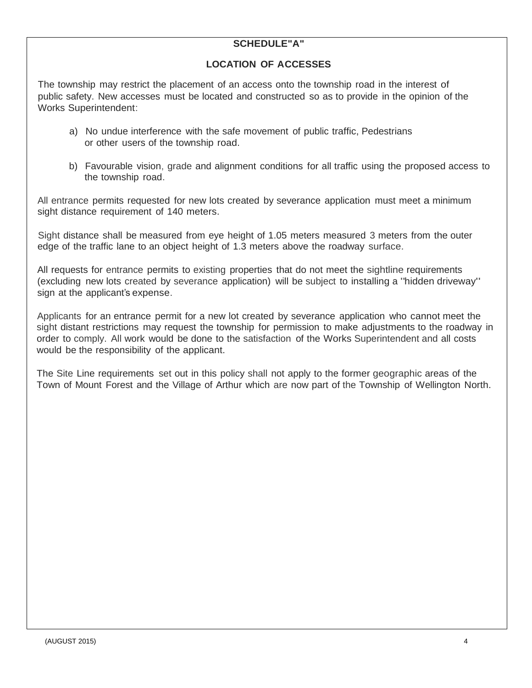## **SCHEDULE"A"**

#### **LOCATION OF ACCESSES**

The township may restrict the placement of an access onto the township road in the interest of public safety. New accesses must be located and constructed so as to provide in the opinion of the Works Superintendent:

- a) No undue interference with the safe movement of public traffic, Pedestrians or other users of the township road.
- b) Favourable vision, grade and alignment conditions for all traffic using the proposed access to the township road.

All entrance permits requested for new lots created by severance application must meet a minimum sight distance requirement of 140 meters.

Sight distance shall be measured from eye height of 1.05 meters measured 3 meters from the outer edge of the traffic lane to an object height of 1.3 meters above the roadway surface.

All requests for entrance permits to existing properties that do not meet the sightline requirements (excluding new lots created by severance application) will be subject to installing a "hidden driveway" sign at the applicant's expense.

Applicants for an entrance permit for a new lot created by severance application who cannot meet the sight distant restrictions may request the township for permission to make adjustments to the roadway in order to comply. All work would be done to the satisfaction of the Works Superintendent and all costs would be the responsibility of the applicant.

The Site Line requirements set out in this policy shall not apply to the former geographic areas of the Town of Mount Forest and the Village of Arthur which are now part of the Township of Wellington North.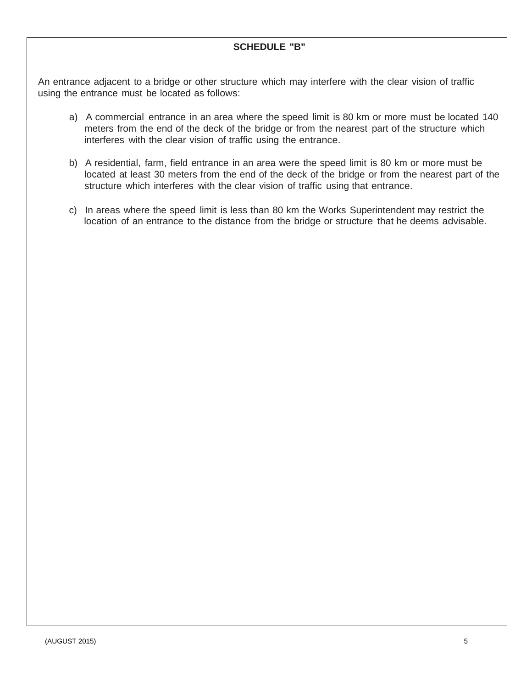### **SCHEDULE "B"**

An entrance adjacent to a bridge or other structure which may interfere with the clear vision of traffic using the entrance must be located as follows:

- a) A commercial entrance in an area where the speed limit is 80 km or more must be located 140 meters from the end of the deck of the bridge or from the nearest part of the structure which interferes with the clear vision of traffic using the entrance.
- b) A residential, farm, field entrance in an area were the speed limit is 80 km or more must be located at least 30 meters from the end of the deck of the bridge or from the nearest part of the structure which interferes with the clear vision of traffic using that entrance.
- c) In areas where the speed limit is less than 80 km the Works Superintendent may restrict the location of an entrance to the distance from the bridge or structure that he deems advisable.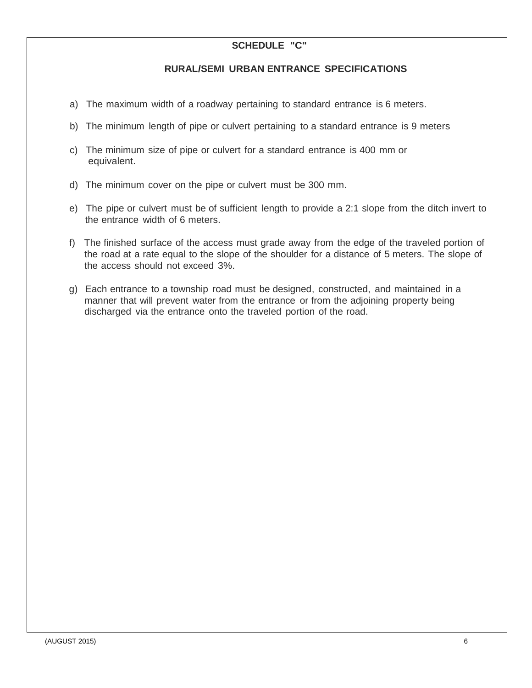## **SCHEDULE "C"**

#### **RURAL/SEMI URBAN ENTRANCE SPECIFICATIONS**

- a) The maximum width of a roadway pertaining to standard entrance is 6 meters.
- b) The minimum length of pipe or culvert pertaining to a standard entrance is 9 meters
- c) The minimum size of pipe or culvert for a standard entrance is 400 mm or equivalent.
- d) The minimum cover on the pipe or culvert must be 300 mm.
- e) The pipe or culvert must be of sufficient length to provide a 2:1 slope from the ditch invert to the entrance width of 6 meters.
- f) The finished surface of the access must grade away from the edge of the traveled portion of the road at a rate equal to the slope of the shoulder for a distance of 5 meters. The slope of the access should not exceed 3%.
- g) Each entrance to a township road must be designed, constructed, and maintained in a manner that will prevent water from the entrance or from the adjoining property being discharged via the entrance onto the traveled portion of the road.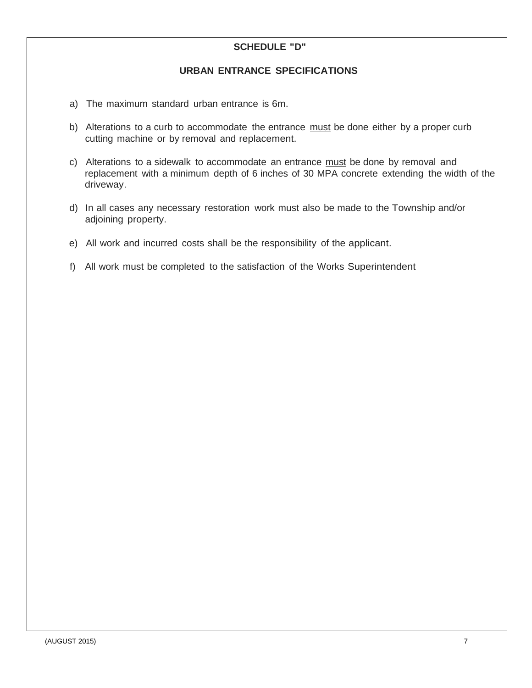### **SCHEDULE "D"**

#### **URBAN ENTRANCE SPECIFICATIONS**

- a) The maximum standard urban entrance is 6m.
- b) Alterations to a curb to accommodate the entrance must be done either by a proper curb cutting machine or by removal and replacement.
- c) Alterations to a sidewalk to accommodate an entrance must be done by removal and replacement with a minimum depth of 6 inches of 30 MPA concrete extending the width of the driveway.
- d) In all cases any necessary restoration work must also be made to the Township and/or adjoining property.
- e) All work and incurred costs shall be the responsibility of the applicant.
- f) All work must be completed to the satisfaction of the Works Superintendent